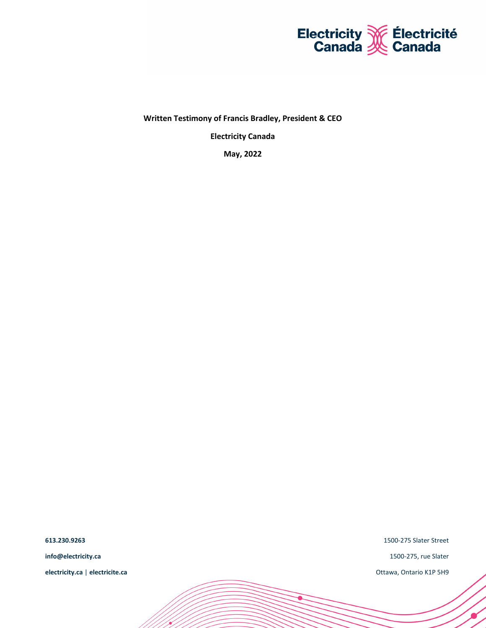

**Written Testimony of Francis Bradley, President & CEO**

**Electricity Canada**

**May, 2022**

**613.230.9263 info@electricity.ca electricity.ca** | **electricite.ca** 1500-275 Slater Street

1500-275, rue Slater

٠

Ottawa, Ontario K1P 5H9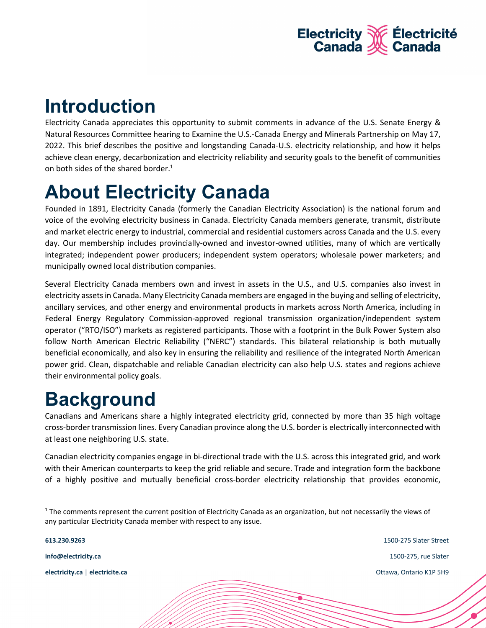

# **Introduction**

Electricity Canada appreciates this opportunity to submit comments in advance of the U.S. Senate Energy & Natural Resources Committee hearing to Examine the U.S.-Canada Energy and Minerals Partnership on May 17, 2022. This brief describes the positive and longstanding Canada-U.S. electricity relationship, and how it helps achieve clean energy, decarbonization and electricity reliability and security goals to the benefit of communities on both sides of the shared border.<sup>1</sup>

# **About Electricity Canada**

Founded in 1891, Electricity Canada (formerly the Canadian Electricity Association) is the national forum and voice of the evolving electricity business in Canada. Electricity Canada members generate, transmit, distribute and market electric energy to industrial, commercial and residential customers across Canada and the U.S. every day. Our membership includes provincially-owned and investor-owned utilities, many of which are vertically integrated; independent power producers; independent system operators; wholesale power marketers; and municipally owned local distribution companies.

Several Electricity Canada members own and invest in assets in the U.S., and U.S. companies also invest in electricity assets in Canada. Many Electricity Canada members are engaged in the buying and selling of electricity, ancillary services, and other energy and environmental products in markets across North America, including in Federal Energy Regulatory Commission-approved regional transmission organization/independent system operator ("RTO/ISO") markets as registered participants. Those with a footprint in the Bulk Power System also follow North American Electric Reliability ("NERC") standards. This bilateral relationship is both mutually beneficial economically, and also key in ensuring the reliability and resilience of the integrated North American power grid. Clean, dispatchable and reliable Canadian electricity can also help U.S. states and regions achieve their environmental policy goals.

## **Background**

Canadians and Americans share a highly integrated electricity grid, connected by more than 35 high voltage cross-border transmission lines. Every Canadian province along the U.S. border is electrically interconnected with at least one neighboring U.S. state.

Canadian electricity companies engage in bi-directional trade with the U.S. across this integrated grid, and work with their American counterparts to keep the grid reliable and secure. Trade and integration form the backbone of a highly positive and mutually beneficial cross-border electricity relationship that provides economic,

**info@electricity.ca electricity.ca** | **electricite.ca**

**613.230.9263**

1500-275 Slater Street 1500-275, rue Slater Ottawa, Ontario K1P 5H9

<sup>&</sup>lt;sup>1</sup> The comments represent the current position of Electricity Canada as an organization, but not necessarily the views of any particular Electricity Canada member with respect to any issue.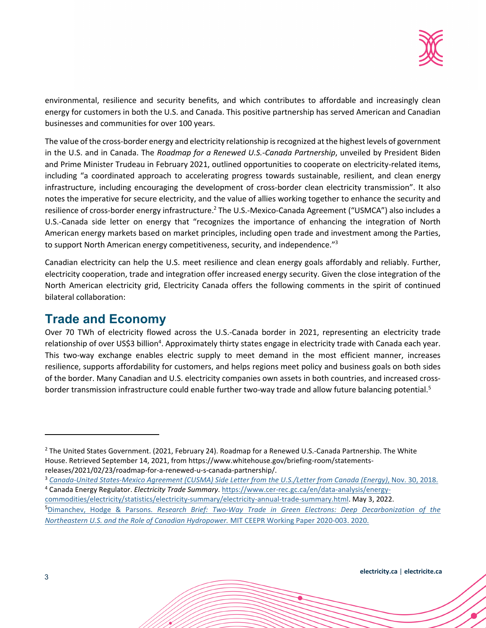

environmental, resilience and security benefits, and which contributes to affordable and increasingly clean energy for customers in both the U.S. and Canada. This positive partnership has served American and Canadian businesses and communities for over 100 years.

The value of the cross-border energy and electricity relationship is recognized at the highest levels of government in the U.S. and in Canada. The *Roadmap for a Renewed U.S.-Canada Partnership*, unveiled by President Biden and Prime Minister Trudeau in February 2021, outlined opportunities to cooperate on electricity-related items, including "a coordinated approach to accelerating progress towards sustainable, resilient, and clean energy infrastructure, including encouraging the development of cross-border clean electricity transmission". It also notes the imperative for secure electricity, and the value of allies working together to enhance the security and resilience of cross-border energy infrastructure.<sup>2</sup> The U.S.-Mexico-Canada Agreement ("USMCA") also includes a U.S.-Canada side letter on energy that "recognizes the importance of enhancing the integration of North American energy markets based on market principles, including open trade and investment among the Parties, to support North American energy competitiveness, security, and independence."<sup>3</sup>

Canadian electricity can help the U.S. meet resilience and clean energy goals affordably and reliably. Further, electricity cooperation, trade and integration offer increased energy security. Given the close integration of the North American electricity grid, Electricity Canada offers the following comments in the spirit of continued bilateral collaboration:

### **Trade and Economy**

Over 70 TWh of electricity flowed across the U.S.-Canada border in 2021, representing an electricity trade relationship of over US\$3 billion<sup>4</sup>. Approximately thirty states engage in electricity trade with Canada each year. This two-way exchange enables electric supply to meet demand in the most efficient manner, increases resilience, supports affordability for customers, and helps regions meet policy and business goals on both sides of the border. Many Canadian and U.S. electricity companies own assets in both countries, and increased crossborder transmission infrastructure could enable further two-way trade and allow future balancing potential.<sup>5</sup>

<sup>&</sup>lt;sup>2</sup> The United States Government. (2021, February 24). Roadmap for a Renewed U.S.-Canada Partnership. The White House. Retrieved September 14, 2021, from https://www.whitehouse.gov/briefing-room/statementsreleases/2021/02/23/roadmap-for-a-renewed-u-s-canada-partnership/.

<sup>3</sup> *Canada-United States-Mexico Agreement (CUSMA) Side Letter from the U.S./Letter from Canada (Energy)*, Nov. 30, 2018.

<sup>4</sup> Canada Energy Regulator. *Electricity Trade Summary*. https://www.cer-rec.gc.ca/en/data-analysis/energycommodities/electricity/statistics/electricity-summary/electricity-annual-trade-summary.html. May 3, 2022. <sup>5</sup>Dimanchev, Hodge & Parsons. *Research Brief: Two-Way Trade in Green Electrons: Deep Decarbonization of the Northeastern U.S. and the Role of Canadian Hydropower.* MIT CEEPR Working Paper 2020-003. 2020.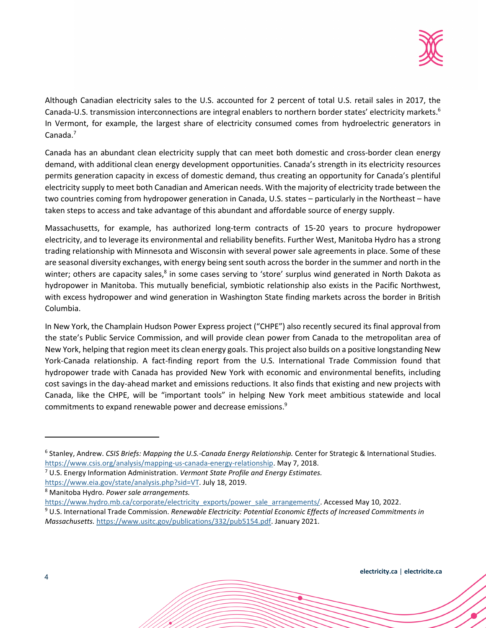

Although Canadian electricity sales to the U.S. accounted for 2 percent of total U.S. retail sales in 2017, the Canada-U.S. transmission interconnections are integral enablers to northern border states' electricity markets.<sup>6</sup> In Vermont, for example, the largest share of electricity consumed comes from hydroelectric generators in Canada.<sup>7</sup>

Canada has an abundant clean electricity supply that can meet both domestic and cross-border clean energy demand, with additional clean energy development opportunities. Canada's strength in its electricity resources permits generation capacity in excess of domestic demand, thus creating an opportunity for Canada's plentiful electricity supply to meet both Canadian and American needs. With the majority of electricity trade between the two countries coming from hydropower generation in Canada, U.S. states – particularly in the Northeast – have taken steps to access and take advantage of this abundant and affordable source of energy supply.

Massachusetts, for example, has authorized long-term contracts of 15-20 years to procure hydropower electricity, and to leverage its environmental and reliability benefits. Further West, Manitoba Hydro has a strong trading relationship with Minnesota and Wisconsin with several power sale agreements in place. Some of these are seasonal diversity exchanges, with energy being sent south across the border in the summer and north in the winter; others are capacity sales,<sup>8</sup> in some cases serving to 'store' surplus wind generated in North Dakota as hydropower in Manitoba. This mutually beneficial, symbiotic relationship also exists in the Pacific Northwest, with excess hydropower and wind generation in Washington State finding markets across the border in British Columbia.

In New York, the Champlain Hudson Power Express project ("CHPE") also recently secured its final approval from the state's Public Service Commission, and will provide clean power from Canada to the metropolitan area of New York, helping that region meet its clean energy goals. This project also builds on a positive longstanding New York-Canada relationship. A fact-finding report from the U.S. International Trade Commission found that hydropower trade with Canada has provided New York with economic and environmental benefits, including cost savings in the day-ahead market and emissions reductions. It also finds that existing and new projects with Canada, like the CHPE, will be "important tools" in helping New York meet ambitious statewide and local commitments to expand renewable power and decrease emissions.<sup>9</sup>

<sup>6</sup> Stanley, Andrew. *CSIS Briefs: Mapping the U.S.-Canada Energy Relationship.* Center for Strategic & International Studies. https://www.csis.org/analysis/mapping-us-canada-energy-relationship. May 7, 2018.

<sup>7</sup> U.S. Energy Information Administration. *Vermont State Profile and Energy Estimates.*

https://www.eia.gov/state/analysis.php?sid=VT. July 18, 2019.

<sup>8</sup> Manitoba Hydro. *Power sale arrangements.*

https://www.hydro.mb.ca/corporate/electricity\_exports/power\_sale\_arrangements/. Accessed May 10, 2022.

<sup>9</sup> U.S. International Trade Commission. *Renewable Electricity: Potential Economic Effects of Increased Commitments in Massachusetts.* https://www.usitc.gov/publications/332/pub5154.pdf. January 2021.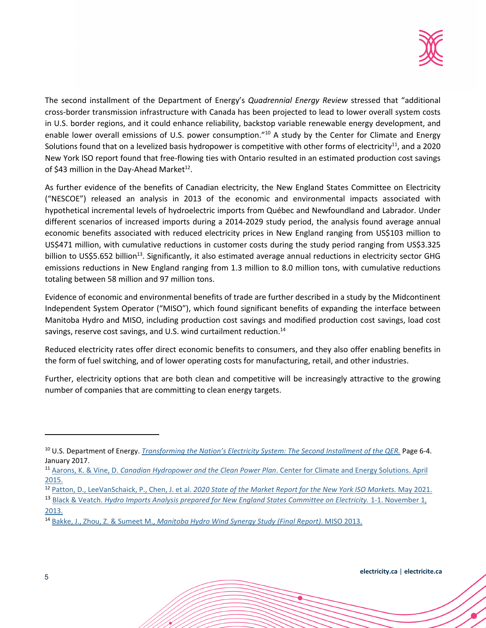

The second installment of the Department of Energy's *Quadrennial Energy Review* stressed that "additional cross-border transmission infrastructure with Canada has been projected to lead to lower overall system costs in U.S. border regions, and it could enhance reliability, backstop variable renewable energy development, and enable lower overall emissions of U.S. power consumption."<sup>10</sup> A study by the Center for Climate and Energy Solutions found that on a levelized basis hydropower is competitive with other forms of electricity<sup>11</sup>, and a 2020 New York ISO report found that free-flowing ties with Ontario resulted in an estimated production cost savings of \$43 million in the Day-Ahead Market $^{12}$ .

As further evidence of the benefits of Canadian electricity, the New England States Committee on Electricity ("NESCOE") released an analysis in 2013 of the economic and environmental impacts associated with hypothetical incremental levels of hydroelectric imports from Québec and Newfoundland and Labrador. Under different scenarios of increased imports during a 2014-2029 study period, the analysis found average annual economic benefits associated with reduced electricity prices in New England ranging from US\$103 million to US\$471 million, with cumulative reductions in customer costs during the study period ranging from US\$3.325 billion to US\$5.652 billion<sup>13</sup>. Significantly, it also estimated average annual reductions in electricity sector GHG emissions reductions in New England ranging from 1.3 million to 8.0 million tons, with cumulative reductions totaling between 58 million and 97 million tons.

Evidence of economic and environmental benefits of trade are further described in a study by the Midcontinent Independent System Operator ("MISO"), which found significant benefits of expanding the interface between Manitoba Hydro and MISO, including production cost savings and modified production cost savings, load cost savings, reserve cost savings, and U.S. wind curtailment reduction.<sup>14</sup>

Reduced electricity rates offer direct economic benefits to consumers, and they also offer enabling benefits in the form of fuel switching, and of lower operating costs for manufacturing, retail, and other industries.

Further, electricity options that are both clean and competitive will be increasingly attractive to the growing number of companies that are committing to clean energy targets.

<sup>10</sup> U.S. Department of Energy. *Transforming the Nation's Electricity System: The Second Installment of the QER.* Page 6-4. January 2017.

<sup>11</sup> Aarons, K. & Vine, D. *Canadian Hydropower and the Clean Power Plan*. Center for Climate and Energy Solutions. April 2015.

<sup>12</sup> Patton, D., LeeVanSchaick, P., Chen, J. et al. *2020 State of the Market Report for the New York ISO Markets.* May 2021.

<sup>13</sup> Black & Veatch. *Hydro Imports Analysis prepared for New England States Committee on Electricity.* 1-1. November 1, 2013.

<sup>14</sup> Bakke, J., Zhou, Z. & Sumeet M., *Manitoba Hydro Wind Synergy Study (Final Report)*. MISO 2013.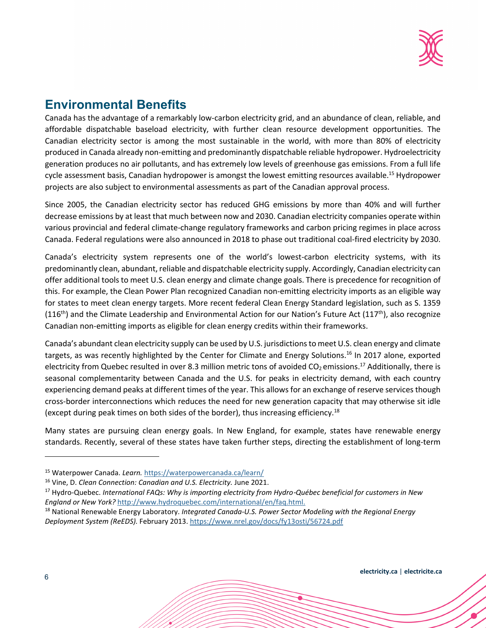

## **Environmental Benefits**

Canada has the advantage of a remarkably low-carbon electricity grid, and an abundance of clean, reliable, and affordable dispatchable baseload electricity, with further clean resource development opportunities. The Canadian electricity sector is among the most sustainable in the world, with more than 80% of electricity produced in Canada already non-emitting and predominantly dispatchable reliable hydropower. Hydroelectricity generation produces no air pollutants, and has extremely low levels of greenhouse gas emissions. From a full life cycle assessment basis, Canadian hydropower is amongst the lowest emitting resources available.<sup>15</sup> Hydropower projects are also subject to environmental assessments as part of the Canadian approval process.

Since 2005, the Canadian electricity sector has reduced GHG emissions by more than 40% and will further decrease emissions by at least that much between now and 2030. Canadian electricity companies operate within various provincial and federal climate-change regulatory frameworks and carbon pricing regimes in place across Canada. Federal regulations were also announced in 2018 to phase out traditional coal-fired electricity by 2030.

Canada's electricity system represents one of the world's lowest-carbon electricity systems, with its predominantly clean, abundant, reliable and dispatchable electricity supply. Accordingly, Canadian electricity can offer additional tools to meet U.S. clean energy and climate change goals. There is precedence for recognition of this. For example, the Clean Power Plan recognized Canadian non-emitting electricity imports as an eligible way for states to meet clean energy targets. More recent federal Clean Energy Standard legislation, such as S. 1359  $(116<sup>th</sup>)$  and the Climate Leadership and Environmental Action for our Nation's Future Act  $(117<sup>th</sup>)$ , also recognize Canadian non-emitting imports as eligible for clean energy credits within their frameworks.

Canada's abundant clean electricity supply can be used by U.S. jurisdictions to meet U.S. clean energy and climate targets, as was recently highlighted by the Center for Climate and Energy Solutions.<sup>16</sup> In 2017 alone, exported electricity from Quebec resulted in over 8.3 million metric tons of avoided  $CO_2$  emissions.<sup>17</sup> Additionally, there is seasonal complementarity between Canada and the U.S. for peaks in electricity demand, with each country experiencing demand peaks at different times of the year. This allows for an exchange of reserve services though cross-border interconnections which reduces the need for new generation capacity that may otherwise sit idle (except during peak times on both sides of the border), thus increasing efficiency.<sup>18</sup>

Many states are pursuing clean energy goals. In New England, for example, states have renewable energy standards. Recently, several of these states have taken further steps, directing the establishment of long-term

<sup>15</sup> Waterpower Canada. *Learn.* https://waterpowercanada.ca/learn/

<sup>16</sup> Vine, D. *Clean Connection: Canadian and U.S. Electricity.* June 2021.

<sup>17</sup> Hydro-Quebec. *International FAQs: Why is importing electricity from Hydro*-*Québec beneficial for customers in New England or New York?* http://www.hydroquebec.com/international/en/faq.html.

<sup>18</sup> National Renewable Energy Laboratory. *Integrated Canada-U.S. Power Sector Modeling with the Regional Energy Deployment System (ReEDS).* February 2013. https://www.nrel.gov/docs/fy13osti/56724.pdf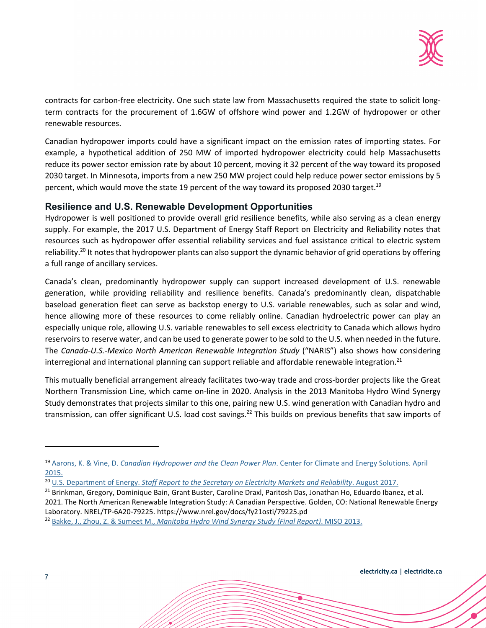

contracts for carbon-free electricity. One such state law from Massachusetts required the state to solicit longterm contracts for the procurement of 1.6GW of offshore wind power and 1.2GW of hydropower or other renewable resources.

Canadian hydropower imports could have a significant impact on the emission rates of importing states. For example, a hypothetical addition of 250 MW of imported hydropower electricity could help Massachusetts reduce its power sector emission rate by about 10 percent, moving it 32 percent of the way toward its proposed 2030 target. In Minnesota, imports from a new 250 MW project could help reduce power sector emissions by 5 percent, which would move the state 19 percent of the way toward its proposed 2030 target.<sup>19</sup>

#### **Resilience and U.S. Renewable Development Opportunities**

Hydropower is well positioned to provide overall grid resilience benefits, while also serving as a clean energy supply. For example, the 2017 U.S. Department of Energy Staff Report on Electricity and Reliability notes that resources such as hydropower offer essential reliability services and fuel assistance critical to electric system reliability.<sup>20</sup> It notes that hydropower plants can also support the dynamic behavior of grid operations by offering a full range of ancillary services.

Canada's clean, predominantly hydropower supply can support increased development of U.S. renewable generation, while providing reliability and resilience benefits. Canada's predominantly clean, dispatchable baseload generation fleet can serve as backstop energy to U.S. variable renewables, such as solar and wind, hence allowing more of these resources to come reliably online. Canadian hydroelectric power can play an especially unique role, allowing U.S. variable renewables to sell excess electricity to Canada which allows hydro reservoirs to reserve water, and can be used to generate power to be sold to the U.S. when needed in the future. The *Canada-U.S.-Mexico North American Renewable Integration Study* ("NARIS") also shows how considering interregional and international planning can support reliable and affordable renewable integration.<sup>21</sup>

This mutually beneficial arrangement already facilitates two-way trade and cross-border projects like the Great Northern Transmission Line, which came on-line in 2020. Analysis in the 2013 Manitoba Hydro Wind Synergy Study demonstrates that projects similar to this one, pairing new U.S. wind generation with Canadian hydro and transmission, can offer significant U.S. load cost savings.<sup>22</sup> This builds on previous benefits that saw imports of

<sup>19</sup> Aarons, K. & Vine, D. *Canadian Hydropower and the Clean Power Plan*. Center for Climate and Energy Solutions. April 2015.

<sup>&</sup>lt;sup>20</sup> U.S. Department of Energy. *Staff Report to the Secretary on Electricity Markets and Reliability*. August 2017.

<sup>&</sup>lt;sup>21</sup> Brinkman, Gregory, Dominique Bain, Grant Buster, Caroline Draxl, Paritosh Das, Jonathan Ho, Eduardo Ibanez, et al. 2021. The North American Renewable Integration Study: A Canadian Perspective. Golden, CO: National Renewable Energy Laboratory. NREL/TP-6A20-79225. https://www.nrel.gov/docs/fy21osti/79225.pd

<sup>22</sup> Bakke, J., Zhou, Z. & Sumeet M., *Manitoba Hydro Wind Synergy Study (Final Report)*. MISO 2013.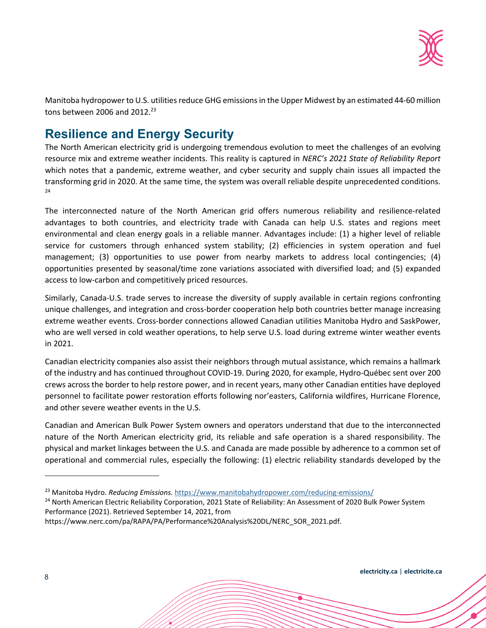

Manitoba hydropower to U.S. utilities reduce GHG emissions in the Upper Midwest by an estimated 44-60 million tons between 2006 and 2012.<sup>23</sup>

## **Resilience and Energy Security**

The North American electricity grid is undergoing tremendous evolution to meet the challenges of an evolving resource mix and extreme weather incidents. This reality is captured in *NERC's 2021 State of Reliability Report*  which notes that a pandemic, extreme weather, and cyber security and supply chain issues all impacted the transforming grid in 2020. At the same time, the system was overall reliable despite unprecedented conditions.  $24$ 

The interconnected nature of the North American grid offers numerous reliability and resilience-related advantages to both countries, and electricity trade with Canada can help U.S. states and regions meet environmental and clean energy goals in a reliable manner. Advantages include: (1) a higher level of reliable service for customers through enhanced system stability; (2) efficiencies in system operation and fuel management; (3) opportunities to use power from nearby markets to address local contingencies; (4) opportunities presented by seasonal/time zone variations associated with diversified load; and (5) expanded access to low-carbon and competitively priced resources.

Similarly, Canada-U.S. trade serves to increase the diversity of supply available in certain regions confronting unique challenges, and integration and cross-border cooperation help both countries better manage increasing extreme weather events. Cross-border connections allowed Canadian utilities Manitoba Hydro and SaskPower, who are well versed in cold weather operations, to help serve U.S. load during extreme winter weather events in 2021.

Canadian electricity companies also assist their neighbors through mutual assistance, which remains a hallmark of the industry and has continued throughout COVID-19. During 2020, for example, Hydro-Québec sent over 200 crews across the border to help restore power, and in recent years, many other Canadian entities have deployed personnel to facilitate power restoration efforts following nor'easters, California wildfires, Hurricane Florence, and other severe weather events in the U.S.

Canadian and American Bulk Power System owners and operators understand that due to the interconnected nature of the North American electricity grid, its reliable and safe operation is a shared responsibility. The physical and market linkages between the U.S. and Canada are made possible by adherence to a common set of operational and commercial rules, especially the following: (1) electric reliability standards developed by the

<sup>24</sup> North American Electric Reliability Corporation, 2021 State of Reliability: An Assessment of 2020 Bulk Power System Performance (2021). Retrieved September 14, 2021, from

https://www.nerc.com/pa/RAPA/PA/Performance%20Analysis%20DL/NERC\_SOR\_2021.pdf.

<sup>23</sup> Manitoba Hydro. *Reducing Emissions.* https://www.manitobahydropower.com/reducing-emissions/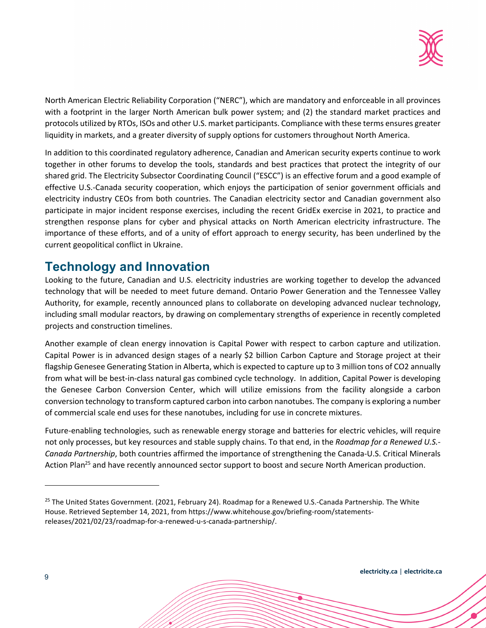

North American Electric Reliability Corporation ("NERC"), which are mandatory and enforceable in all provinces with a footprint in the larger North American bulk power system; and (2) the standard market practices and protocols utilized by RTOs, ISOs and other U.S. market participants. Compliance with these terms ensures greater liquidity in markets, and a greater diversity of supply options for customers throughout North America.

In addition to this coordinated regulatory adherence, Canadian and American security experts continue to work together in other forums to develop the tools, standards and best practices that protect the integrity of our shared grid. The Electricity Subsector Coordinating Council ("ESCC") is an effective forum and a good example of effective U.S.-Canada security cooperation, which enjoys the participation of senior government officials and electricity industry CEOs from both countries. The Canadian electricity sector and Canadian government also participate in major incident response exercises, including the recent GridEx exercise in 2021, to practice and strengthen response plans for cyber and physical attacks on North American electricity infrastructure. The importance of these efforts, and of a unity of effort approach to energy security, has been underlined by the current geopolitical conflict in Ukraine.

### **Technology and Innovation**

Looking to the future, Canadian and U.S. electricity industries are working together to develop the advanced technology that will be needed to meet future demand. Ontario Power Generation and the Tennessee Valley Authority, for example, recently announced plans to collaborate on developing advanced nuclear technology, including small modular reactors, by drawing on complementary strengths of experience in recently completed projects and construction timelines.

Another example of clean energy innovation is Capital Power with respect to carbon capture and utilization. Capital Power is in advanced design stages of a nearly \$2 billion Carbon Capture and Storage project at their flagship Genesee Generating Station in Alberta, which is expected to capture up to 3 million tons of CO2 annually from what will be best-in-class natural gas combined cycle technology. In addition, Capital Power is developing the Genesee Carbon Conversion Center, which will utilize emissions from the facility alongside a carbon conversion technology to transform captured carbon into carbon nanotubes. The company is exploring a number of commercial scale end uses for these nanotubes, including for use in concrete mixtures.

Future-enabling technologies, such as renewable energy storage and batteries for electric vehicles, will require not only processes, but key resources and stable supply chains. To that end, in the *Roadmap for a Renewed U.S.- Canada Partnership*, both countries affirmed the importance of strengthening the Canada-U.S. Critical Minerals Action Plan<sup>25</sup> and have recently announced sector support to boost and secure North American production.

<sup>&</sup>lt;sup>25</sup> The United States Government. (2021, February 24). Roadmap for a Renewed U.S.-Canada Partnership. The White House. Retrieved September 14, 2021, from https://www.whitehouse.gov/briefing-room/statementsreleases/2021/02/23/roadmap-for-a-renewed-u-s-canada-partnership/.